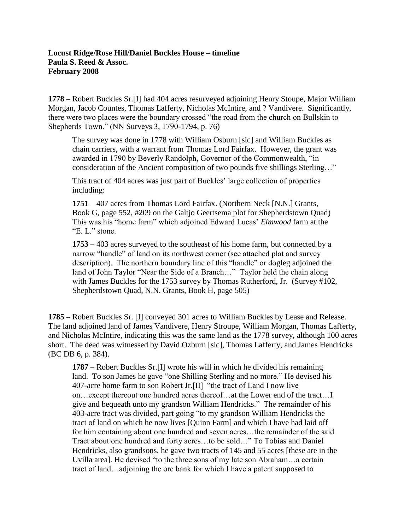## **Locust Ridge/Rose Hill/Daniel Buckles House – timeline Paula S. Reed & Assoc. February 2008**

**1778** – Robert Buckles Sr.[I] had 404 acres resurveyed adjoining Henry Stoupe, Major William Morgan, Jacob Countes, Thomas Lafferty, Nicholas McIntire, and ? Vandivere. Significantly, there were two places were the boundary crossed "the road from the church on Bullskin to Shepherds Town." (NN Surveys 3, 1790-1794, p. 76)

The survey was done in 1778 with William Osburn [sic] and William Buckles as chain carriers, with a warrant from Thomas Lord Fairfax. However, the grant was awarded in 1790 by Beverly Randolph, Governor of the Commonwealth, "in consideration of the Ancient composition of two pounds five shillings Sterling…"

This tract of 404 acres was just part of Buckles' large collection of properties including:

**1751** – 407 acres from Thomas Lord Fairfax. (Northern Neck [N.N.] Grants, Book G, page 552, #209 on the Galtjo Geertsema plot for Shepherdstown Quad) This was his "home farm" which adjoined Edward Lucas' *Elmwood* farm at the "E. L." stone.

**1753** – 403 acres surveyed to the southeast of his home farm, but connected by a narrow "handle" of land on its northwest corner (see attached plat and survey description). The northern boundary line of this "handle" or dogleg adjoined the land of John Taylor "Near the Side of a Branch…" Taylor held the chain along with James Buckles for the 1753 survey by Thomas Rutherford, Jr. (Survey #102, Shepherdstown Quad, N.N. Grants, Book H, page 505)

**1785** – Robert Buckles Sr. [I] conveyed 301 acres to William Buckles by Lease and Release. The land adjoined land of James Vandivere, Henry Stroupe, William Morgan, Thomas Lafferty, and Nicholas McIntire, indicating this was the same land as the 1778 survey, although 100 acres short. The deed was witnessed by David Ozburn [sic], Thomas Lafferty, and James Hendricks (BC DB 6, p. 384).

**1787** – Robert Buckles Sr.[I] wrote his will in which he divided his remaining land. To son James he gave "one Shilling Sterling and no more." He devised his 407-acre home farm to son Robert Jr.[II] "the tract of Land I now live on…except thereout one hundred acres thereof…at the Lower end of the tract…I give and bequeath unto my grandson William Hendricks." The remainder of his 403-acre tract was divided, part going "to my grandson William Hendricks the tract of land on which he now lives [Quinn Farm] and which I have had laid off for him containing about one hundred and seven acres…the remainder of the said Tract about one hundred and forty acres…to be sold…" To Tobias and Daniel Hendricks, also grandsons, he gave two tracts of 145 and 55 acres [these are in the Uvilla area]. He devised "to the three sons of my late son Abraham…a certain tract of land…adjoining the ore bank for which I have a patent supposed to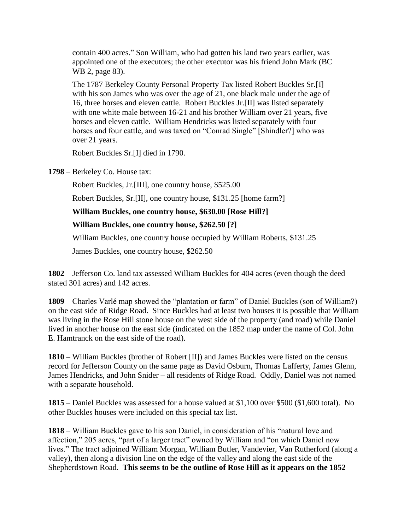contain 400 acres." Son William, who had gotten his land two years earlier, was appointed one of the executors; the other executor was his friend John Mark (BC WB 2, page 83).

The 1787 Berkeley County Personal Property Tax listed Robert Buckles Sr.[I] with his son James who was over the age of 21, one black male under the age of 16, three horses and eleven cattle. Robert Buckles Jr.[II] was listed separately with one white male between 16-21 and his brother William over 21 years, five horses and eleven cattle. William Hendricks was listed separately with four horses and four cattle, and was taxed on "Conrad Single" [Shindler?] who was over 21 years.

Robert Buckles Sr.[I] died in 1790.

**1798** – Berkeley Co. House tax:

Robert Buckles, Jr.[III], one country house, \$525.00

Robert Buckles, Sr.[II], one country house, \$131.25 [home farm?]

**William Buckles, one country house, \$630.00 [Rose Hill?]**

## **William Buckles, one country house, \$262.50 [?]**

William Buckles, one country house occupied by William Roberts, \$131.25

James Buckles, one country house, \$262.50

**1802** – Jefferson Co. land tax assessed William Buckles for 404 acres (even though the deed stated 301 acres) and 142 acres.

**1809** – Charles Varlé map showed the "plantation or farm" of Daniel Buckles (son of William?) on the east side of Ridge Road. Since Buckles had at least two houses it is possible that William was living in the Rose Hill stone house on the west side of the property (and road) while Daniel lived in another house on the east side (indicated on the 1852 map under the name of Col. John E. Hamtranck on the east side of the road).

**1810** – William Buckles (brother of Robert [II]) and James Buckles were listed on the census record for Jefferson County on the same page as David Osburn, Thomas Lafferty, James Glenn, James Hendricks, and John Snider – all residents of Ridge Road. Oddly, Daniel was not named with a separate household.

**1815** – Daniel Buckles was assessed for a house valued at \$1,100 over \$500 (\$1,600 total). No other Buckles houses were included on this special tax list.

**1818** – William Buckles gave to his son Daniel, in consideration of his "natural love and affection," 205 acres, "part of a larger tract" owned by William and "on which Daniel now lives." The tract adjoined William Morgan, William Butler, Vandevier, Van Rutherford (along a valley), then along a division line on the edge of the valley and along the east side of the Shepherdstown Road. **This seems to be the outline of Rose Hill as it appears on the 1852**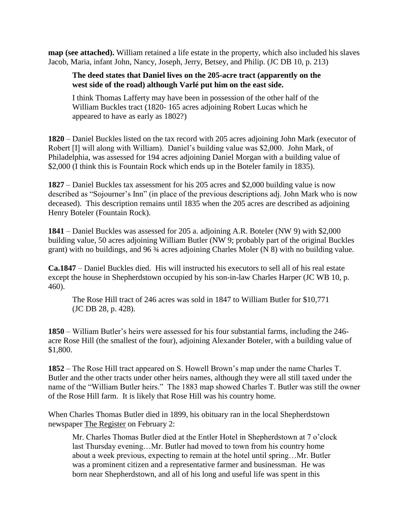**map (see attached).** William retained a life estate in the property, which also included his slaves Jacob, Maria, infant John, Nancy, Joseph, Jerry, Betsey, and Philip. (JC DB 10, p. 213)

## **The deed states that Daniel lives on the 205-acre tract (apparently on the west side of the road) although Varlé put him on the east side.**

I think Thomas Lafferty may have been in possession of the other half of the William Buckles tract (1820- 165 acres adjoining Robert Lucas which he appeared to have as early as 1802?)

**1820** – Daniel Buckles listed on the tax record with 205 acres adjoining John Mark (executor of Robert [I] will along with William). Daniel's building value was \$2,000. John Mark, of Philadelphia, was assessed for 194 acres adjoining Daniel Morgan with a building value of \$2,000 (I think this is Fountain Rock which ends up in the Boteler family in 1835).

**1827** – Daniel Buckles tax assessment for his 205 acres and \$2,000 building value is now described as "Sojourner's Inn" (in place of the previous descriptions adj. John Mark who is now deceased). This description remains until 1835 when the 205 acres are described as adjoining Henry Boteler (Fountain Rock).

**1841** – Daniel Buckles was assessed for 205 a. adjoining A.R. Boteler (NW 9) with \$2,000 building value, 50 acres adjoining William Butler (NW 9; probably part of the original Buckles grant) with no buildings, and 96 ¾ acres adjoining Charles Moler (N 8) with no building value.

**Ca.1847** – Daniel Buckles died. His will instructed his executors to sell all of his real estate except the house in Shepherdstown occupied by his son-in-law Charles Harper (JC WB 10, p. 460).

The Rose Hill tract of 246 acres was sold in 1847 to William Butler for \$10,771 (JC DB 28, p. 428).

**1850** – William Butler's heirs were assessed for his four substantial farms, including the 246 acre Rose Hill (the smallest of the four), adjoining Alexander Boteler, with a building value of \$1,800.

**1852** – The Rose Hill tract appeared on S. Howell Brown's map under the name Charles T. Butler and the other tracts under other heirs names, although they were all still taxed under the name of the "William Butler heirs." The 1883 map showed Charles T. Butler was still the owner of the Rose Hill farm. It is likely that Rose Hill was his country home.

When Charles Thomas Butler died in 1899, his obituary ran in the local Shepherdstown newspaper The Register on February 2:

Mr. Charles Thomas Butler died at the Entler Hotel in Shepherdstown at 7 o'clock last Thursday evening…Mr. Butler had moved to town from his country home about a week previous, expecting to remain at the hotel until spring…Mr. Butler was a prominent citizen and a representative farmer and businessman. He was born near Shepherdstown, and all of his long and useful life was spent in this